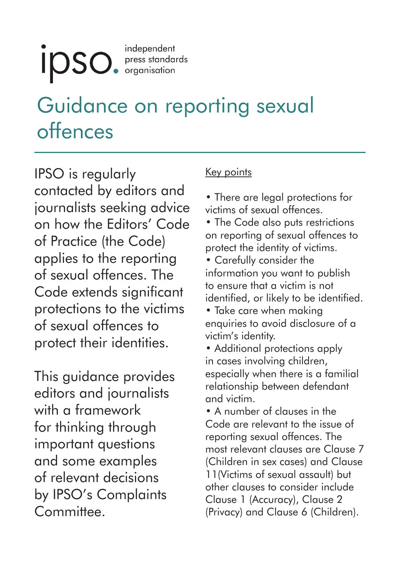## independent **IDSO.** press standards

## Guidance on reporting sexual offences

IPSO is regularly contacted by editors and journalists seeking advice on how the Editors' Code of Practice (the Code) applies to the reporting of sexual offences. The Code extends significant protections to the victims of sexual offences to protect their identities.

This guidance provides editors and journalists with a framework for thinking through important questions and some examples of relevant decisions by IPSO's Complaints Committee.

#### Key points

• There are legal protections for victims of sexual offences.

• The Code also puts restrictions on reporting of sexual offences to protect the identity of victims.

• Carefully consider the information you want to publish to ensure that a victim is not identified, or likely to be identified.

• Take care when making enquiries to avoid disclosure of a victim's identity.

• Additional protections apply in cases involving children, especially when there is a familial relationship between defendant and victim.

• A number of clauses in the Code are relevant to the issue of reporting sexual offences. The most relevant clauses are Clause 7 (Children in sex cases) and Clause 11(Victims of sexual assault) but other clauses to consider include Clause 1 (Accuracy), Clause 2 (Privacy) and Clause 6 (Children).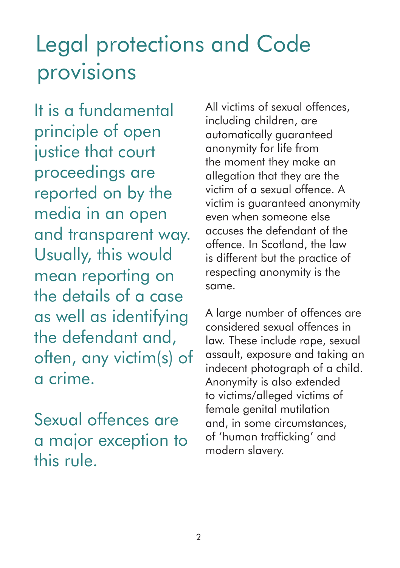# Legal protections and Code provisions

It is a fundamental principle of open justice that court proceedings are reported on by the media in an open and transparent way. Usually, this would mean reporting on the details of a case as well as identifying the defendant and, often, any victim(s) of a crime.

Sexual offences are a major exception to this rule.

All victims of sexual offences, including children, are automatically guaranteed anonymity for life from the moment they make an allegation that they are the victim of a sexual offence. A victim is guaranteed anonymity even when someone else accuses the defendant of the offence. In Scotland, the law is different but the practice of respecting anonymity is the same.

A large number of offences are considered sexual offences in law. These include rape, sexual assault, exposure and taking an indecent photograph of a child. Anonymity is also extended to victims/alleged victims of female genital mutilation and, in some circumstances, of 'human trafficking' and modern slavery.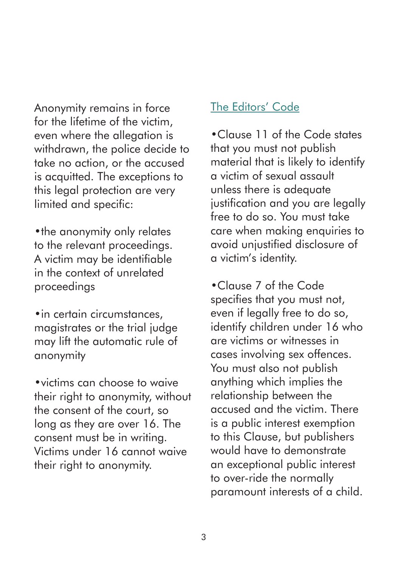Anonymity remains in force for the lifetime of the victim, even where the allegation is withdrawn, the police decide to take no action, or the accused is acquitted. The exceptions to this legal protection are very limited and specific:

•the anonymity only relates to the relevant proceedings. A victim may be identifiable in the context of unrelated proceedings

•in certain circumstances, magistrates or the trial judge may lift the automatic rule of anonymity

•victims can choose to waive their right to anonymity, without the consent of the court, so long as they are over 16. The consent must be in writing. Victims under 16 cannot waive their right to anonymity.

### The Editors' Code

•Clause 11 of the Code states that you must not publish material that is likely to identify a victim of sexual assault unless there is adequate justification and you are legally free to do so. You must take care when making enquiries to avoid unjustified disclosure of a victim's identity.

•Clause 7 of the Code specifies that you must not, even if legally free to do so, identify children under 16 who are victims or witnesses in cases involving sex offences. You must also not publish anything which implies the relationship between the accused and the victim. There is a public interest exemption to this Clause, but publishers would have to demonstrate an exceptional public interest to over-ride the normally paramount interests of a child.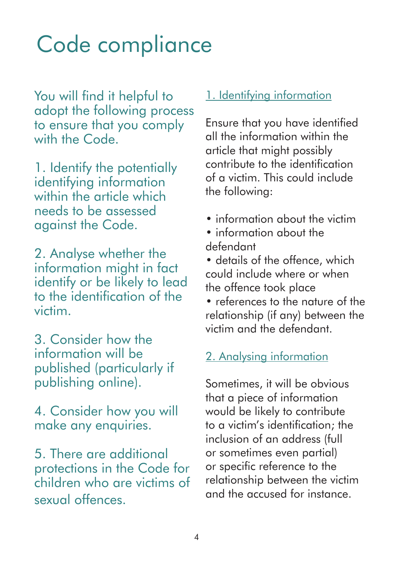# Code compliance

You will find it helpful to adopt the following process to ensure that you comply with the Code.

1. Identify the potentially identifying information within the article which needs to be assessed against the Code.

2. Analyse whether the information might in fact identify or be likely to lead to the identification of the victim.

3. Consider how the information will be published (particularly if publishing online).

4. Consider how you will make any enquiries.

5. There are additional protections in the Code for children who are victims of sexual offences.

## 1. Identifying information

Ensure that you have identified all the information within the article that might possibly contribute to the identification of a victim. This could include the following:

- information about the victim
- information about the defendant

• details of the offence, which could include where or when the offence took place

• references to the nature of the relationship (if any) between the victim and the defendant.

## 2. Analysing information

Sometimes, it will be obvious that a piece of information would be likely to contribute to a victim's identification; the inclusion of an address (full or sometimes even partial) or specific reference to the relationship between the victim and the accused for instance.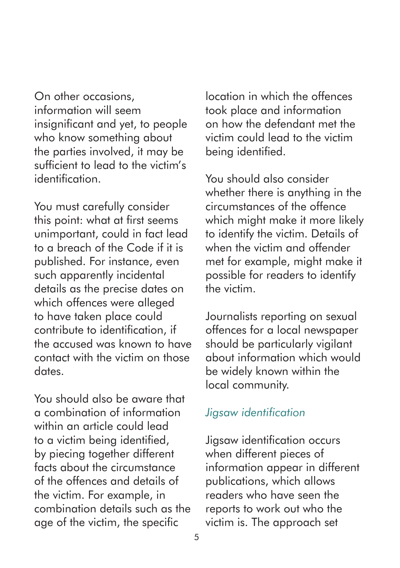On other occasions, information will seem insignificant and yet, to people who know something about the parties involved, it may be sufficient to lead to the victim's identification.

You must carefully consider this point: what at first seems unimportant, could in fact lead to a breach of the Code if it is published. For instance, even such apparently incidental details as the precise dates on which offences were alleged to have taken place could contribute to identification, if the accused was known to have contact with the victim on those dates.

You should also be aware that a combination of information within an article could lead to a victim being identified, by piecing together different facts about the circumstance of the offences and details of the victim. For example, in combination details such as the age of the victim, the specific

location in which the offences took place and information on how the defendant met the victim could lead to the victim being identified.

You should also consider whether there is anything in the circumstances of the offence which might make it more likely to identify the victim. Details of when the victim and offender met for example, might make it possible for readers to identify the victim.

Journalists reporting on sexual offences for a local newspaper should be particularly vigilant about information which would be widely known within the local community.

#### *Jigsaw identification*

Jigsaw identification occurs when different pieces of information appear in different publications, which allows readers who have seen the reports to work out who the victim is. The approach set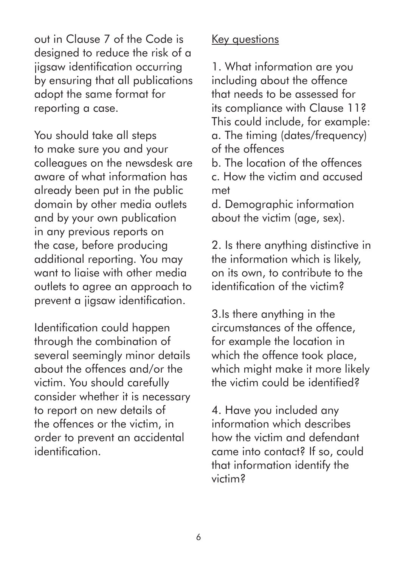out in Clause 7 of the Code is designed to reduce the risk of a jigsaw identification occurring by ensuring that all publications adopt the same format for reporting a case.

You should take all steps to make sure you and your colleagues on the newsdesk are aware of what information has already been put in the public domain by other media outlets and by your own publication in any previous reports on the case, before producing additional reporting. You may want to liaise with other media outlets to agree an approach to prevent a jigsaw identification.

Identification could happen through the combination of several seemingly minor details about the offences and/or the victim. You should carefully consider whether it is necessary to report on new details of the offences or the victim, in order to prevent an accidental identification.

### Key questions

1. What information are you including about the offence that needs to be assessed for its compliance with Clause 11? This could include, for example: a. The timing (dates/frequency) of the offences

b. The location of the offences c. How the victim and accused met

d. Demographic information about the victim (age, sex).

2. Is there anything distinctive in the information which is likely, on its own, to contribute to the identification of the victim?

3.Is there anything in the circumstances of the offence, for example the location in which the offence took place, which might make it more likely the victim could be identified?

4. Have you included any information which describes how the victim and defendant came into contact? If so, could that information identify the victim?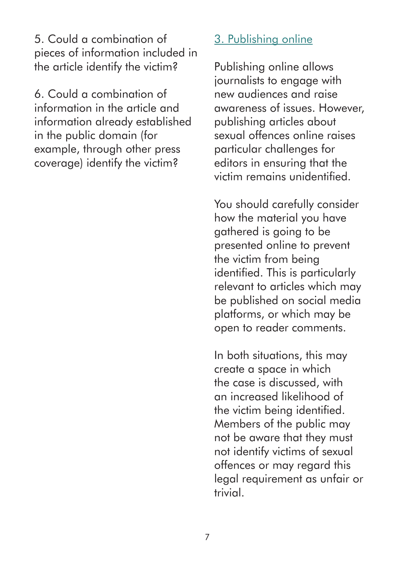5. Could a combination of pieces of information included in the article identify the victim?

6. Could a combination of information in the article and information already established in the public domain (for example, through other press coverage) identify the victim?

## 3. Publishing online

Publishing online allows journalists to engage with new audiences and raise awareness of issues. However, publishing articles about sexual offences online raises particular challenges for editors in ensuring that the victim remains unidentified.

You should carefully consider how the material you have gathered is going to be presented online to prevent the victim from being identified. This is particularly relevant to articles which may be published on social media platforms, or which may be open to reader comments.

In both situations, this may create a space in which the case is discussed, with an increased likelihood of the victim being identified. Members of the public may not be aware that they must not identify victims of sexual offences or may regard this legal requirement as unfair or trivial.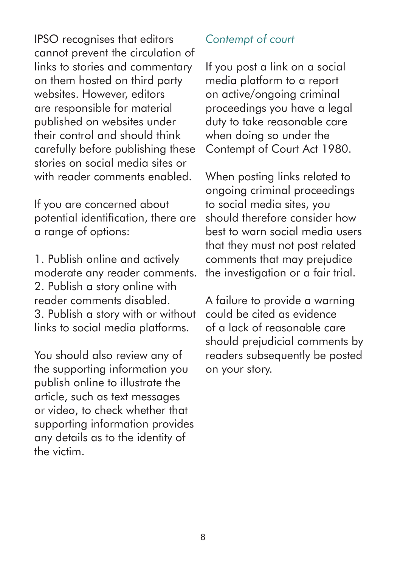IPSO recognises that editors cannot prevent the circulation of links to stories and commentary on them hosted on third party websites. However, editors are responsible for material published on websites under their control and should think carefully before publishing these stories on social media sites or with reader comments enabled.

If you are concerned about potential identification, there are a range of options:

1. Publish online and actively moderate any reader comments. 2. Publish a story online with reader comments disabled. 3. Publish a story with or without links to social media platforms.

You should also review any of the supporting information you publish online to illustrate the article, such as text messages or video, to check whether that supporting information provides any details as to the identity of the victim.

## *Contempt of court*

If you post a link on a social media platform to a report on active/ongoing criminal proceedings you have a legal duty to take reasonable care when doing so under the Contempt of Court Act 1980.

When posting links related to ongoing criminal proceedings to social media sites, you should therefore consider how best to warn social media users that they must not post related comments that may prejudice the investigation or a fair trial.

A failure to provide a warning could be cited as evidence of a lack of reasonable care should prejudicial comments by readers subsequently be posted on your story.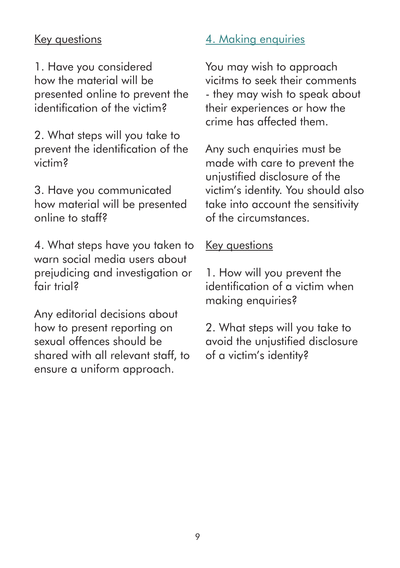### Key questions

1. Have you considered how the material will be presented online to prevent the identification of the victim?

2. What steps will you take to prevent the identification of the victim?

3. Have you communicated how material will be presented online to staff?

4. What steps have you taken to warn social media users about prejudicing and investigation or fair trial?

Any editorial decisions about how to present reporting on sexual offences should be shared with all relevant staff, to ensure a uniform approach.

## 4. Making enquiries

You may wish to approach vicitms to seek their comments - they may wish to speak about their experiences or how the crime has affected them.

Any such enquiries must be made with care to prevent the unjustified disclosure of the victim's identity. You should also take into account the sensitivity of the circumstances.

#### Key questions

1. How will you prevent the identification of a victim when making enquiries?

2. What steps will you take to avoid the unjustified disclosure of a victim's identity?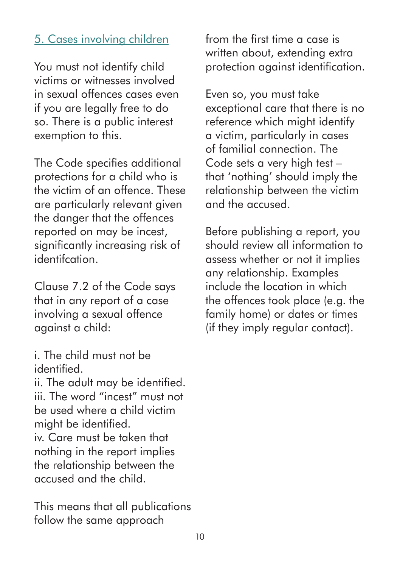## 5. Cases involving children

You must not identify child victims or witnesses involved in sexual offences cases even if you are legally free to do so. There is a public interest exemption to this.

The Code specifies additional protections for a child who is the victim of an offence. These are particularly relevant given the danger that the offences reported on may be incest, significantly increasing risk of identifcation.

Clause 7.2 of the Code says that in any report of a case involving a sexual offence against a child:

i. The child must not be identified.

ii. The adult may be identified. iii. The word "incest" must not be used where a child victim might be identified. iv. Care must be taken that nothing in the report implies the relationship between the accused and the child.

This means that all publications follow the same approach

from the first time a case is written about, extending extra protection against identification.

Even so, you must take exceptional care that there is no reference which might identify a victim, particularly in cases of familial connection. The Code sets a very high test – that 'nothing' should imply the relationship between the victim and the accused.

Before publishing a report, you should review all information to assess whether or not it implies any relationship. Examples include the location in which the offences took place (e.g. the family home) or dates or times (if they imply regular contact).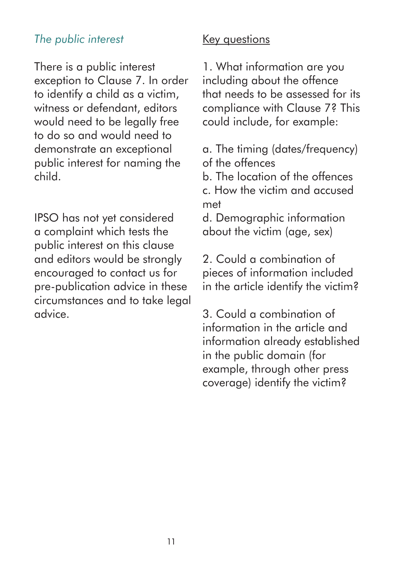### *The public interest*

There is a public interest exception to Clause 7. In order to identify a child as a victim, witness or defendant, editors would need to be legally free to do so and would need to demonstrate an exceptional public interest for naming the child.

IPSO has not yet considered a complaint which tests the public interest on this clause and editors would be strongly encouraged to contact us for pre-publication advice in these circumstances and to take legal advice.

#### Key questions

1. What information are you including about the offence that needs to be assessed for its compliance with Clause 7? This could include, for example:

a. The timing (dates/frequency) of the offences

b. The location of the offences c. How the victim and accused met

d. Demographic information about the victim (age, sex)

2. Could a combination of pieces of information included in the article identify the victim?

3. Could a combination of information in the article and information already established in the public domain (for example, through other press coverage) identify the victim?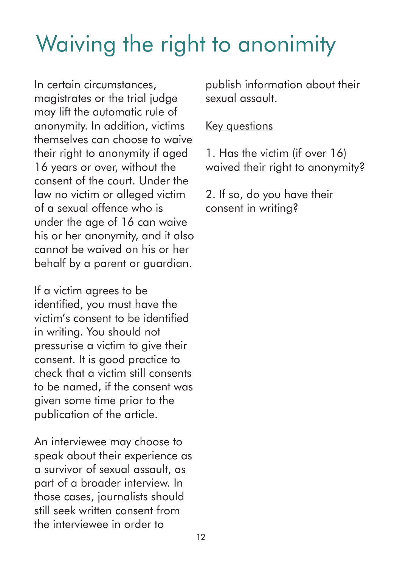# Waiving the right to anonimity

In certain circumstances, magistrates or the trial judge may lift the automatic rule of anonymity. In addition, victims themselves can choose to waive their right to anonymity if aged 16 years or over, without the consent of the court. Under the law no victim or alleged victim of a sexual offence who is under the age of 16 can waive his or her anonymity, and it also cannot be waived on his or her behalf by a parent or guardian.

If a victim agrees to be identified, you must have the victim's consent to be identified in writing. You should not pressurise a victim to give their consent. It is good practice to check that a victim still consents to be named, if the consent was given some time prior to the publication of the article.

An interviewee may choose to speak about their experience as a survivor of sexual assault, as part of a broader interview. In those cases, journalists should still seek written consent from the interviewee in order to

publish information about their sexual assault.

#### Key questions

1. Has the victim (if over 16) waived their right to anonymity?

2. If so, do you have their consent in writing?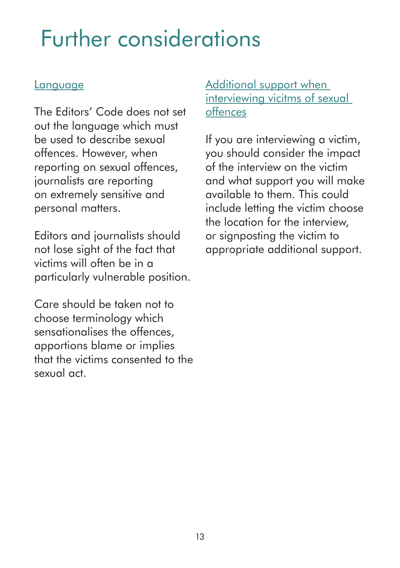## Further considerations

#### **Language**

The Editors' Code does not set out the language which must be used to describe sexual offences. However, when reporting on sexual offences, journalists are reporting on extremely sensitive and personal matters.

Editors and journalists should not lose sight of the fact that victims will often be in a particularly vulnerable position.

Care should be taken not to choose terminology which sensationalises the offences, apportions blame or implies that the victims consented to the sexual act.

## Additional support when interviewing vicitms of sexual offences

If you are interviewing a victim, you should consider the impact of the interview on the victim and what support you will make available to them. This could include letting the victim choose the location for the interview, or signposting the victim to appropriate additional support.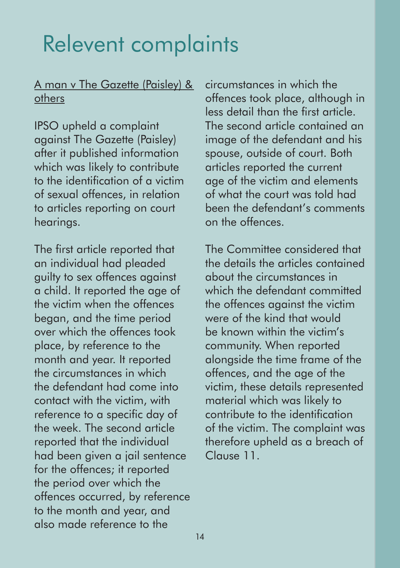## Relevent complaints

### A man v The Gazette (Paisley) & others

IPSO upheld a complaint against The Gazette (Paisley) after it published information which was likely to contribute to the identification of a victim of sexual offences, in relation to articles reporting on court hearings.

The first article reported that an individual had pleaded guilty to sex offences against a child. It reported the age of the victim when the offences began, and the time period over which the offences took place, by reference to the month and year. It reported the circumstances in which the defendant had come into contact with the victim, with reference to a specific day of the week. The second article reported that the individual had been given a jail sentence for the offences; it reported the period over which the offences occurred, by reference to the month and year, and also made reference to the

circumstances in which the offences took place, although in less detail than the first article. The second article contained an image of the defendant and his spouse, outside of court. Both articles reported the current age of the victim and elements of what the court was told had been the defendant's comments on the offences.

The Committee considered that the details the articles contained about the circumstances in which the defendant committed the offences against the victim were of the kind that would be known within the victim's community. When reported alongside the time frame of the offences, and the age of the victim, these details represented material which was likely to contribute to the identification of the victim. The complaint was therefore upheld as a breach of Clause 11.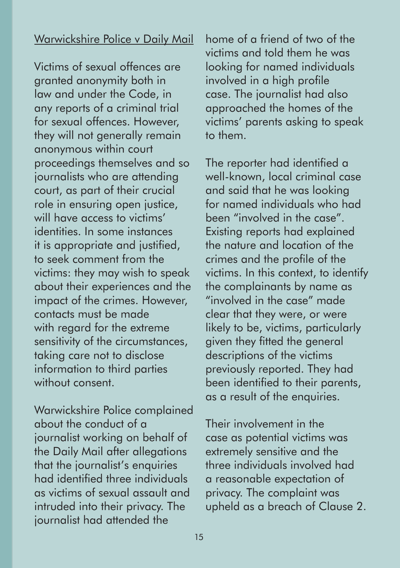#### Warwickshire Police v Daily Mail

Victims of sexual offences are granted anonymity both in law and under the Code, in any reports of a criminal trial for sexual offences. However, they will not generally remain anonymous within court proceedings themselves and so journalists who are attending court, as part of their crucial role in ensuring open justice, will have access to victims' identities. In some instances it is appropriate and justified, to seek comment from the victims: they may wish to speak about their experiences and the impact of the crimes. However, contacts must be made with regard for the extreme sensitivity of the circumstances, taking care not to disclose information to third parties without consent.

Warwickshire Police complained about the conduct of a journalist working on behalf of the Daily Mail after allegations that the journalist's enquiries had identified three individuals as victims of sexual assault and intruded into their privacy. The journalist had attended the

home of a friend of two of the victims and told them he was looking for named individuals involved in a high profile case. The journalist had also approached the homes of the victims' parents asking to speak to them.

The reporter had identified a well-known, local criminal case and said that he was looking for named individuals who had been "involved in the case". Existing reports had explained the nature and location of the crimes and the profile of the victims. In this context, to identify the complainants by name as "involved in the case" made clear that they were, or were likely to be, victims, particularly given they fitted the general descriptions of the victims previously reported. They had been identified to their parents, as a result of the enquiries.

Their involvement in the case as potential victims was extremely sensitive and the three individuals involved had a reasonable expectation of privacy. The complaint was upheld as a breach of Clause 2.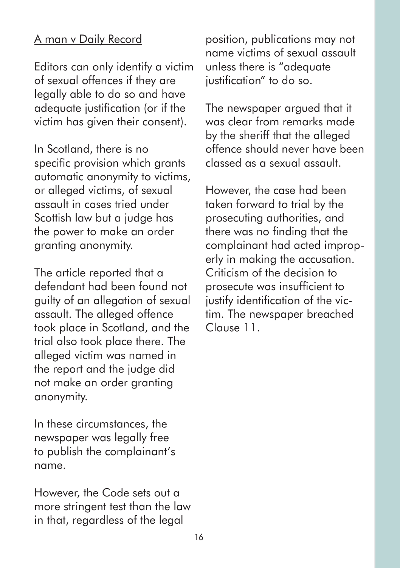#### A man v Daily Record

Editors can only identify a victim of sexual offences if they are legally able to do so and have adequate justification (or if the victim has given their consent).

In Scotland, there is no specific provision which grants automatic anonymity to victims, or alleged victims, of sexual assault in cases tried under Scottish law but a judge has the power to make an order granting anonymity.

The article reported that a defendant had been found not guilty of an allegation of sexual assault. The alleged offence took place in Scotland, and the trial also took place there. The alleged victim was named in the report and the judge did not make an order granting anonymity.

In these circumstances, the newspaper was legally free to publish the complainant's name.

However, the Code sets out a more stringent test than the law in that, regardless of the legal

position, publications may not name victims of sexual assault unless there is "adequate justification" to do so.

The newspaper argued that it was clear from remarks made by the sheriff that the alleged offence should never have been classed as a sexual assault.

However, the case had been taken forward to trial by the prosecuting authorities, and there was no finding that the complainant had acted improperly in making the accusation. Criticism of the decision to prosecute was insufficient to justify identification of the victim. The newspaper breached Clause 11.